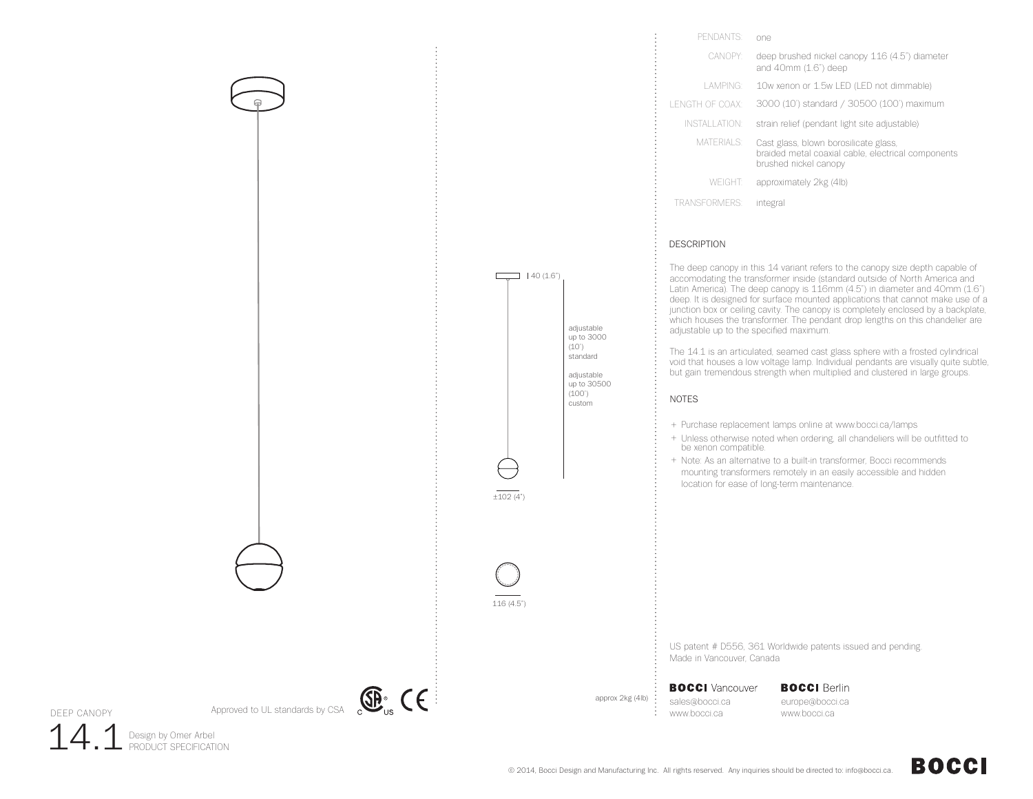